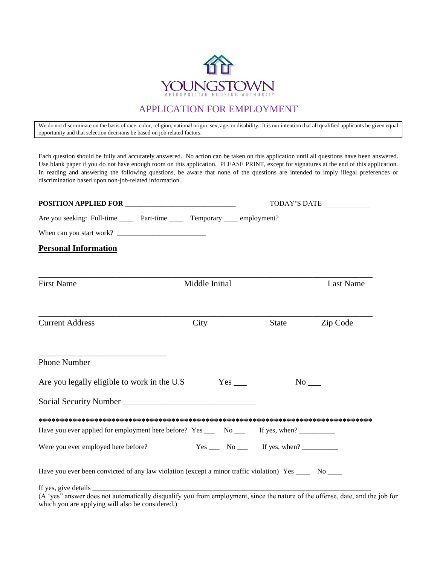

## APPLICATION FOR EMPLOYMENT

We do not discriminate on the basis of race, color, religion, national origin, sex, age, or disability. It is our intention that all qualified applicants be given equal opportunity and that selection decisions be based on job related factors.

Each question should be fully and accurately answered. No action can be taken on this application until all questions have been answered. Use blank paper if you do not have enough room on this application. PLEASE PRINT, except for signatures at the end of this application. In reading and answering the following questions, be aware that none of the questions are intended to imply illegal preferences or discrimination based upon non-job-related information.

|                                                                                                                | TODAY'S DATE   |                                                                           |                  |
|----------------------------------------------------------------------------------------------------------------|----------------|---------------------------------------------------------------------------|------------------|
| Are you seeking: Full-time ______ Part-time _____ Temporary _____ employment?                                  |                |                                                                           |                  |
|                                                                                                                |                |                                                                           |                  |
| <b>Personal Information</b>                                                                                    |                |                                                                           |                  |
| <b>First Name</b>                                                                                              | Middle Initial |                                                                           | <b>Last Name</b> |
| <b>Current Address</b>                                                                                         | City           | State                                                                     | Zip Code         |
| Phone Number                                                                                                   |                |                                                                           |                  |
| Are you legally eligible to work in the U.S.                                                                   | Yes            | $No$ <sub>___</sub>                                                       |                  |
|                                                                                                                |                |                                                                           |                  |
|                                                                                                                |                |                                                                           |                  |
| Have you ever applied for employment here before? Yes _____ No ______ If yes, when? __________                 |                |                                                                           |                  |
| Were you ever employed here before?                                                                            |                | $Yes \_\_\_$ No $\_\_\_$ If yes, when? $\_\_\_\_\_\_\_\_\_\_\_\_\_\_\_\_$ |                  |
| Have you ever been convicted of any law violation (except a minor traffic violation) Yes _______ No ______     |                |                                                                           |                  |
| $(A \text{ 'yes' answer does not automatically dicquality you from employment since the nature of the affine.$ |                |                                                                           |                  |

(A 'yes" answer does not automatically disqualify you from employment, since the nature of the offense, date, and the job for which you are applying will also be considered.)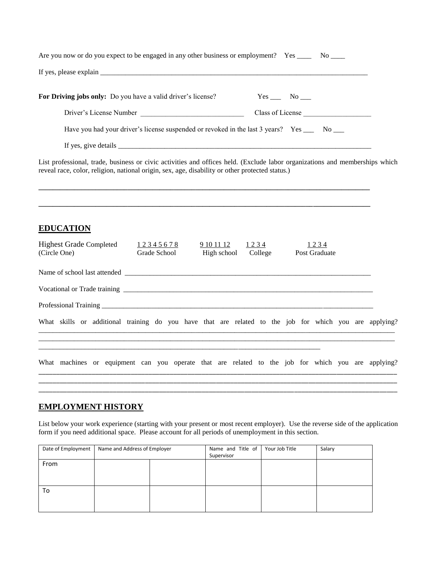| Are you now or do you expect to be engaged in any other business or employment? Yes _______ No _____                                                                                                                           |  |
|--------------------------------------------------------------------------------------------------------------------------------------------------------------------------------------------------------------------------------|--|
| If yes, please explain exercise the contract of the state of the state of the state of the state of the state of the state of the state of the state of the state of the state of the state of the state of the state of the s |  |
| For Driving jobs only: Do you have a valid driver's license?<br>$Yes \_ No \_$                                                                                                                                                 |  |
| Driver's License Number<br>Class of License                                                                                                                                                                                    |  |
| Have you had your driver's license suspended or revoked in the last 3 years? Yes _____ No ____                                                                                                                                 |  |
|                                                                                                                                                                                                                                |  |
| List professional, trade, business or civic activities and offices held. (Exclude labor organizations and memberships which<br>reveal race, color, religion, national origin, sex, age, disability or other protected status.) |  |
| <b>EDUCATION</b><br><b>Highest Grade Completed</b><br>9 10 11 12<br>1234<br>1234<br>12345678<br>Grade School<br>High school<br>College<br>(Circle One)<br>Post Graduate                                                        |  |
|                                                                                                                                                                                                                                |  |
|                                                                                                                                                                                                                                |  |
|                                                                                                                                                                                                                                |  |
| What skills or additional training do you have that are related to the job for which you are applying?                                                                                                                         |  |
| What machines or equipment can you operate that are related to the job for which you are applying?                                                                                                                             |  |
|                                                                                                                                                                                                                                |  |
|                                                                                                                                                                                                                                |  |

### **EMPLOYMENT HISTORY**

List below your work experience (starting with your present or most recent employer). Use the reverse side of the application form if you need additional space. Please account for all periods of unemployment in this section.

| Date of Employment | Name and Address of Employer |  | Name and Title of<br>Supervisor | Your Job Title | Salary |
|--------------------|------------------------------|--|---------------------------------|----------------|--------|
| From               |                              |  |                                 |                |        |
|                    |                              |  |                                 |                |        |
| To                 |                              |  |                                 |                |        |
|                    |                              |  |                                 |                |        |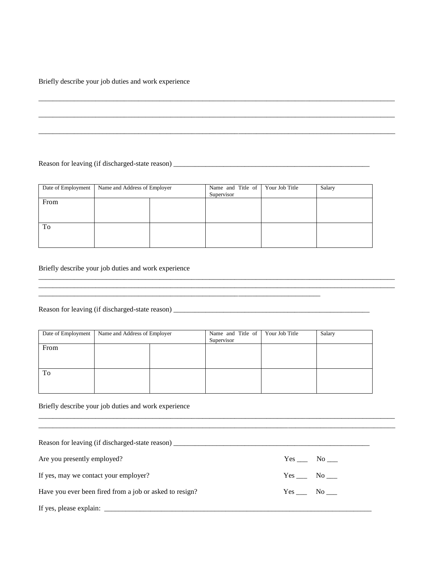Briefly describe your job duties and work experience

Reason for leaving (if discharged-state reason) \_\_\_\_\_\_\_\_\_\_\_\_\_\_\_\_\_\_\_\_\_\_\_\_\_\_\_\_\_\_\_\_\_\_\_\_\_\_\_\_\_\_\_\_\_\_\_\_\_\_\_\_\_\_\_

|      | Date of Employment Name and Address of Employer | Name and Title of<br>Supervisor | Your Job Title | Salary |
|------|-------------------------------------------------|---------------------------------|----------------|--------|
| From |                                                 |                                 |                |        |
|      |                                                 |                                 |                |        |
| To   |                                                 |                                 |                |        |
|      |                                                 |                                 |                |        |

\_\_\_\_\_\_\_\_\_\_\_\_\_\_\_\_\_\_\_\_\_\_\_\_\_\_\_\_\_\_\_\_\_\_\_\_\_\_\_\_\_\_\_\_\_\_\_\_\_\_\_\_\_\_\_\_\_\_\_\_\_\_\_\_\_\_\_\_\_\_\_\_\_\_\_\_\_\_\_\_\_\_\_\_\_\_\_\_\_\_\_\_\_\_\_\_\_\_\_\_ \_\_\_\_\_\_\_\_\_\_\_\_\_\_\_\_\_\_\_\_\_\_\_\_\_\_\_\_\_\_\_\_\_\_\_\_\_\_\_\_\_\_\_\_\_\_\_\_\_\_\_\_\_\_\_\_\_\_\_\_\_\_\_\_\_\_\_\_\_\_\_\_\_\_\_\_\_\_\_\_\_\_\_\_\_\_\_\_\_\_\_\_\_\_\_\_\_\_\_\_

\_\_\_\_\_\_\_\_\_\_\_\_\_\_\_\_\_\_\_\_\_\_\_\_\_\_\_\_\_\_\_\_\_\_\_\_\_\_\_\_\_\_\_\_\_\_\_\_\_\_\_\_\_\_\_\_\_\_\_\_\_\_\_\_\_\_\_\_\_\_\_\_\_\_\_\_\_\_\_\_\_\_\_\_\_\_\_\_\_\_\_\_\_\_\_\_\_\_\_\_

\_\_\_\_\_\_\_\_\_\_\_\_\_\_\_\_\_\_\_\_\_\_\_\_\_\_\_\_\_\_\_\_\_\_\_\_\_\_\_\_\_\_\_\_\_\_\_\_\_\_\_\_\_\_\_\_\_\_\_\_\_\_\_\_\_\_\_\_\_\_\_\_\_\_\_\_\_\_\_\_\_\_\_\_\_\_\_\_\_\_\_\_\_\_\_\_\_\_\_\_

\_\_\_\_\_\_\_\_\_\_\_\_\_\_\_\_\_\_\_\_\_\_\_\_\_\_\_\_\_\_\_\_\_\_\_\_\_\_\_\_\_\_\_\_\_\_\_\_\_\_\_\_\_\_\_\_\_\_\_\_\_\_\_\_\_\_\_\_\_\_\_\_\_\_\_\_\_\_\_\_\_\_\_\_\_\_\_\_\_\_\_\_\_\_\_\_\_\_\_\_

Briefly describe your job duties and work experience

Reason for leaving (if discharged-state reason) \_\_\_\_\_\_\_\_\_\_\_\_\_\_\_\_\_\_\_\_\_\_\_\_\_\_\_\_\_\_\_\_\_\_\_\_\_\_\_\_\_\_\_\_\_\_\_\_\_\_\_\_\_\_\_

| Date of Employment | Name and Address of Employer | Name and Title of<br>Supervisor | Your Job Title | Salary |
|--------------------|------------------------------|---------------------------------|----------------|--------|
| From               |                              |                                 |                |        |
|                    |                              |                                 |                |        |
| To                 |                              |                                 |                |        |
|                    |                              |                                 |                |        |

\_\_\_\_\_\_\_\_\_\_\_\_\_\_\_\_\_\_\_\_\_\_\_\_\_\_\_\_\_\_\_\_\_\_\_\_\_\_\_\_\_\_\_\_\_\_\_\_\_\_\_\_\_\_\_\_\_\_\_\_\_\_\_\_\_\_\_\_\_\_\_\_\_\_\_\_\_\_\_

Briefly describe your job duties and work experience

| Are you presently employed?                             | $Yes$ No $\_\_$ |
|---------------------------------------------------------|-----------------|
| If yes, may we contact your employer?                   | $Yes$ No $\_\_$ |
| Have you ever been fired from a job or asked to resign? | Yes No          |

\_\_\_\_\_\_\_\_\_\_\_\_\_\_\_\_\_\_\_\_\_\_\_\_\_\_\_\_\_\_\_\_\_\_\_\_\_\_\_\_\_\_\_\_\_\_\_\_\_\_\_\_\_\_\_\_\_\_\_\_\_\_\_\_\_\_\_\_\_\_\_\_\_\_\_\_\_\_\_\_\_\_\_\_\_\_\_\_\_\_\_\_\_\_\_\_\_\_\_\_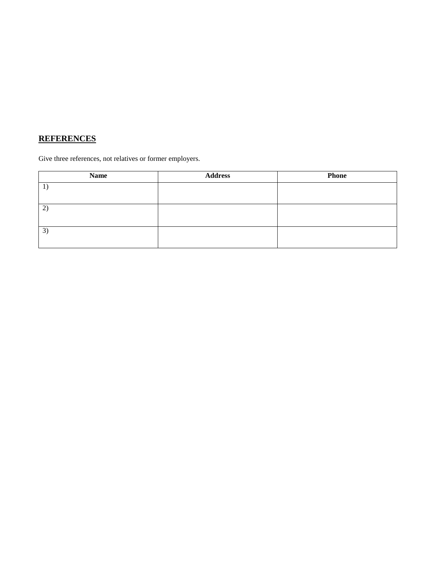# **REFERENCES**

Give three references, not relatives or former employers.

| <b>Name</b> | <b>Address</b> | <b>Phone</b> |
|-------------|----------------|--------------|
|             |                |              |
|             |                |              |
| 2)          |                |              |
|             |                |              |
| 3)          |                |              |
|             |                |              |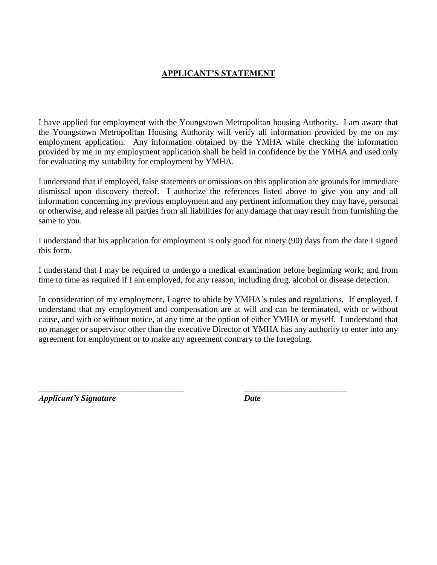#### **APPLICANT'S STATEMENT**

I have applied for employment with the Youngstown Metropolitan housing Authority. I am aware that the Youngstown Metropolitan Housing Authority will verify all information provided by me on my employment application. Any information obtained by the YMHA while checking the information provided by me in my employment application shall be held in confidence by the YMHA and used only for evaluating my suitability for employment by YMHA.

I understand that if employed, false statements or omissions on this application are grounds for immediate dismissal upon discovery thereof. I authorize the references listed above to give you any and all information concerning my previous employment and any pertinent information they may have, personal or otherwise, and release all parties from all liabilities for any damage that may result from furnishing the same to you.

I understand that his application for employment is only good for ninety (90) days from the date I signed this form.

I understand that I may be required to undergo a medical examination before beginning work; and from time to time as required if I am employed, for any reason, including drug, alcohol or disease detection.

In consideration of my employment, I agree to abide by YMHA's rules and regulations. If employed, I understand that my employment and compensation are at will and can be terminated, with or without cause, and with or without notice, at any time at the option of either YMHA or myself. I understand that no manager or supervisor other than the executive Director of YMHA has any authority to enter into any agreement for employment or to make any agreement contrary to the foregoing.

\_\_\_\_\_\_\_\_\_\_\_\_\_\_\_\_\_\_\_\_\_\_\_\_\_\_\_\_\_\_\_\_\_\_ \_\_\_\_\_\_\_\_\_\_\_\_\_\_\_\_\_\_\_\_\_\_\_\_

*Applicant's Signature Date*